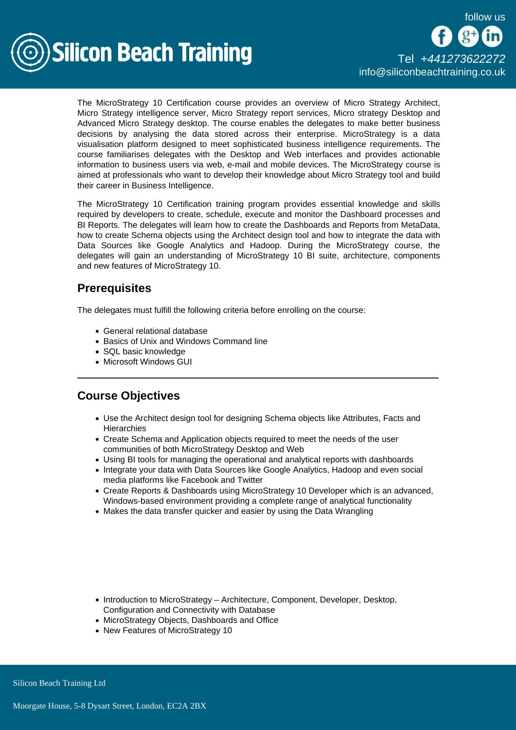follow us



The MicroStrategy 10 Certification course provides an overview of Micro Strategy Architect, Micro Strategy intelligence server, Micro Strategy report services, Micro strategy Desktop and Advanced Micro Strategy desktop. The course enables the delegates to make better business decisions by analysing the data stored across their enterprise. MicroStrategy is a data visualisation platform designed to meet sophisticated business intelligence requirements. The course familiarises delegates with the Desktop and Web interfaces and provides actionable information to business users via web, e-mail and mobile devices. The MicroStrategy course is aimed at professionals who want to develop their knowledge about Micro Strategy tool and build their career in Business Intelligence.

The MicroStrategy 10 Certification training program provides essential knowledge and skills required by developers to create, schedule, execute and monitor the Dashboard processes and BI Reports. The delegates will learn how to create the Dashboards and Reports from MetaData, how to create Schema objects using the Architect design tool and how to integrate the data with Data Sources like Google Analytics and Hadoop. During the MicroStrategy course, the delegates will gain an understanding of MicroStrategy 10 BI suite, architecture, components and new features of MicroStrategy 10.

## **Prerequisites**

The delegates must fulfill the following criteria before enrolling on the course:

- General relational database
- Basics of Unix and Windows Command line
- SQL basic knowledge
- Microsoft Windows GUI

## Course Objectives

- Use the Architect design tool for designing Schema objects like Attributes, Facts and **Hierarchies**
- Create Schema and Application objects required to meet the needs of the user communities of both MicroStrategy Desktop and Web
- Using BI tools for managing the operational and analytical reports with dashboards
- Integrate your data with Data Sources like Google Analytics, Hadoop and even social media platforms like Facebook and Twitter
- Create Reports & Dashboards using MicroStrategy 10 Developer which is an advanced, Windows-based environment providing a complete range of analytical functionality
- Makes the data transfer quicker and easier by using the Data Wrangling

- Introduction to MicroStrategy Architecture, Component, Developer, Desktop, Configuration and Connectivity with Database
- MicroStrategy Objects, Dashboards and Office
- New Features of MicroStrategy 10

Silicon Beach Training Ltd